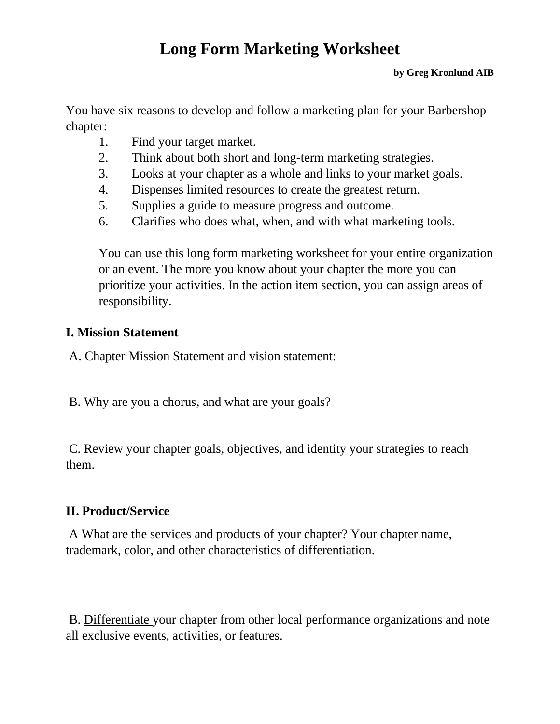# **Long Form Marketing Worksheet**

#### **by Greg Kronlund AIB**

You have six reasons to develop and follow a marketing plan for your Barbershop chapter:

- 1. Find your target market.
- 2. Think about both short and long-term marketing strategies.
- 3. Looks at your chapter as a whole and links to your market goals.
- 4. Dispenses limited resources to create the greatest return.
- 5. Supplies a guide to measure progress and outcome.
- 6. Clarifies who does what, when, and with what marketing tools.

You can use this long form marketing worksheet for your entire organization or an event. The more you know about your chapter the more you can prioritize your activities. In the action item section, you can assign areas of responsibility.

#### **I. Mission Statement**

A. Chapter Mission Statement and vision statement:

B. Why are you a chorus, and what are your goals?

C. Review your chapter goals, objectives, and identity your strategies to reach them.

# **II. Product/Service**

A What are the services and products of your chapter? Your chapter name, trademark, color, and other characteristics of differentiation.

B. Differentiate your chapter from other local performance organizations and note all exclusive events, activities, or features.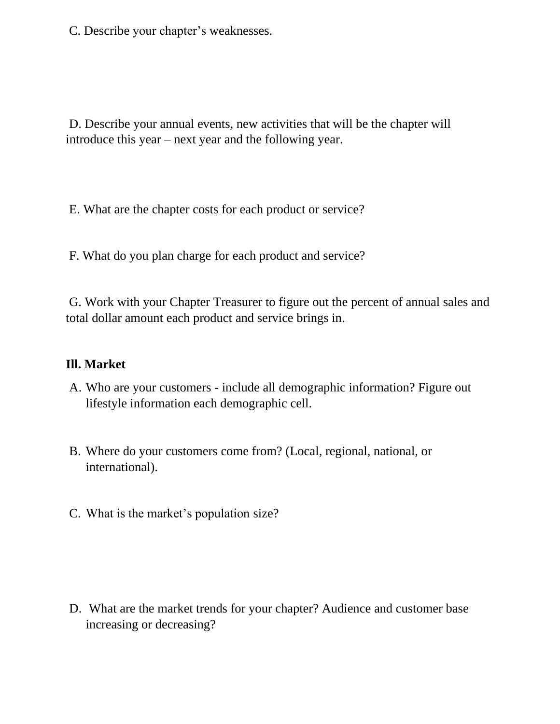C. Describe your chapter's weaknesses.

D. Describe your annual events, new activities that will be the chapter will introduce this year – next year and the following year.

E. What are the chapter costs for each product or service?

F. What do you plan charge for each product and service?

G. Work with your Chapter Treasurer to figure out the percent of annual sales and total dollar amount each product and service brings in.

#### **Ill. Market**

- A. Who are your customers include all demographic information? Figure out lifestyle information each demographic cell.
- B. Where do your customers come from? (Local, regional, national, or international).
- C. What is the market's population size?

D. What are the market trends for your chapter? Audience and customer base increasing or decreasing?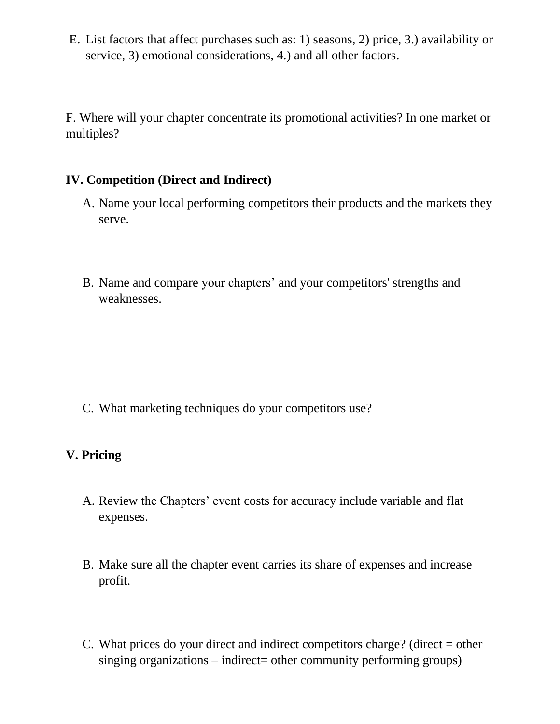E. List factors that affect purchases such as: 1) seasons, 2) price, 3.) availability or service, 3) emotional considerations, 4.) and all other factors.

F. Where will your chapter concentrate its promotional activities? In one market or multiples?

# **IV. Competition (Direct and Indirect)**

- A. Name your local performing competitors their products and the markets they serve.
- B. Name and compare your chapters' and your competitors' strengths and weaknesses.

C. What marketing techniques do your competitors use?

# **V. Pricing**

- A. Review the Chapters' event costs for accuracy include variable and flat expenses.
- B. Make sure all the chapter event carries its share of expenses and increase profit.
- C. What prices do your direct and indirect competitors charge? (direct = other singing organizations – indirect= other community performing groups)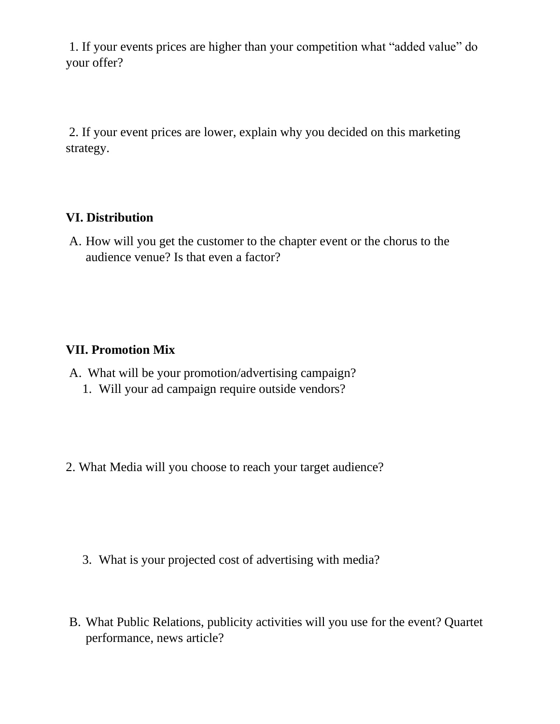1. If your events prices are higher than your competition what "added value" do your offer?

2. If your event prices are lower, explain why you decided on this marketing strategy.

# **VI. Distribution**

A. How will you get the customer to the chapter event or the chorus to the audience venue? Is that even a factor?

#### **VII. Promotion Mix**

- A. What will be your promotion/advertising campaign?
	- 1. Will your ad campaign require outside vendors?
- 2. What Media will you choose to reach your target audience?

- 3. What is your projected cost of advertising with media?
- B. What Public Relations, publicity activities will you use for the event? Quartet performance, news article?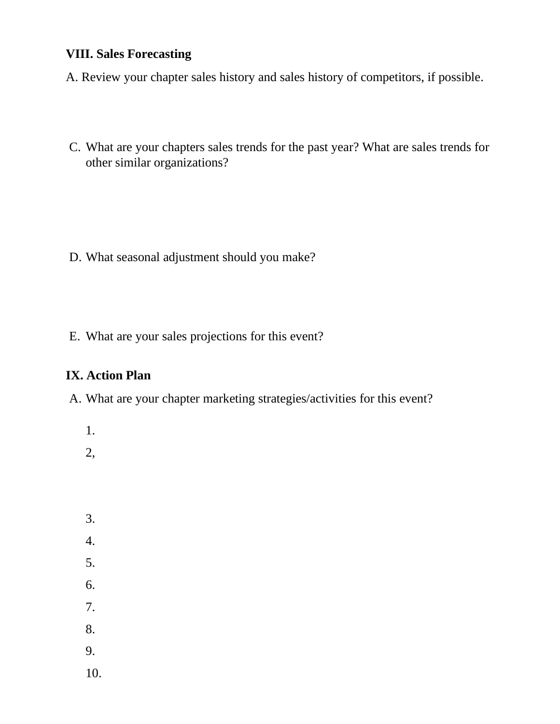# **VIII. Sales Forecasting**

A. Review your chapter sales history and sales history of competitors, if possible.

C. What are your chapters sales trends for the past year? What are sales trends for other similar organizations?

- D. What seasonal adjustment should you make?
- E. What are your sales projections for this event?

# **IX. Action Plan**

A. What are your chapter marketing strategies/activities for this event?

- 1.
- 2,
- 3. 4. 5. 6. 7. 8. 9.
- 10.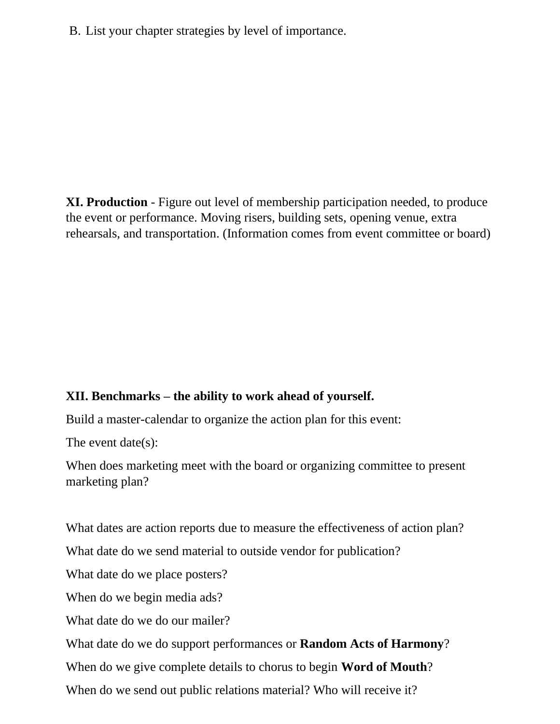B. List your chapter strategies by level of importance.

**XI. Production** - Figure out level of membership participation needed, to produce the event or performance. Moving risers, building sets, opening venue, extra rehearsals, and transportation. (Information comes from event committee or board)

# **XII. Benchmarks – the ability to work ahead of yourself.**

Build a master-calendar to organize the action plan for this event:

The event date(s):

When does marketing meet with the board or organizing committee to present marketing plan?

What dates are action reports due to measure the effectiveness of action plan?

What date do we send material to outside vendor for publication?

What date do we place posters?

When do we begin media ads?

What date do we do our mailer?

What date do we do support performances or **Random Acts of Harmony**?

When do we give complete details to chorus to begin **Word of Mouth**?

When do we send out public relations material? Who will receive it?